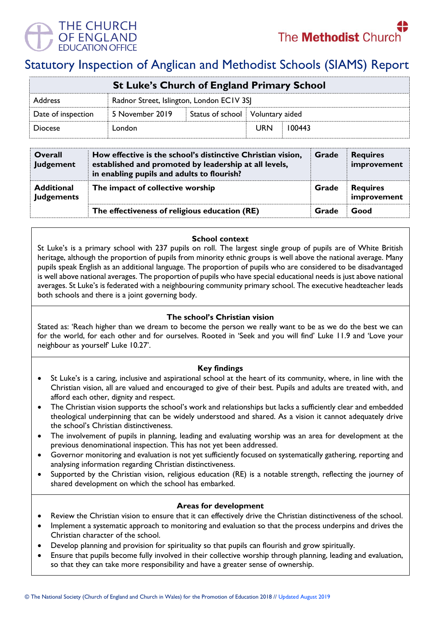

# Statutory Inspection of Anglican and Methodist Schools (SIAMS) Report

| <b>St Luke's Church of England Primary School</b> |                                           |                                    |            |        |  |  |
|---------------------------------------------------|-------------------------------------------|------------------------------------|------------|--------|--|--|
| <b>Address</b>                                    | Radnor Street, Islington, London ECIV 3SJ |                                    |            |        |  |  |
| Date of inspection                                | 5 November 2019                           | Status of school   Voluntary aided |            |        |  |  |
| <b>Diocese</b>                                    | London                                    |                                    | <b>URN</b> | 100443 |  |  |

| <b>Overall</b><br><b>Judgement</b>     | How effective is the school's distinctive Christian vision,<br>established and promoted by leadership at all levels,<br>in enabling pupils and adults to flourish? |       | <b>Requires</b><br>improvement |
|----------------------------------------|--------------------------------------------------------------------------------------------------------------------------------------------------------------------|-------|--------------------------------|
| <b>Additional</b><br><b>Judgements</b> | The impact of collective worship                                                                                                                                   | Grade | <b>Requires</b><br>improvement |
|                                        | The effectiveness of religious education (RE)                                                                                                                      | Grade | Good                           |

# **School context**

St Luke's is a primary school with 237 pupils on roll. The largest single group of pupils are of White British heritage, although the proportion of pupils from minority ethnic groups is well above the national average. Many pupils speak English as an additional language. The proportion of pupils who are considered to be disadvantaged is well above national averages. The proportion of pupils who have special educational needs is just above national averages. St Luke's is federated with a neighbouring community primary school. The executive headteacher leads both schools and there is a joint governing body.

# **The school's Christian vision**

Stated as: 'Reach higher than we dream to become the person we really want to be as we do the best we can for the world, for each other and for ourselves. Rooted in 'Seek and you will find' Luke 11.9 and 'Love your neighbour as yourself' Luke 10.27'.

# **Key findings**

- St Luke's is a caring, inclusive and aspirational school at the heart of its community, where, in line with the Christian vision, all are valued and encouraged to give of their best. Pupils and adults are treated with, and afford each other, dignity and respect.
- The Christian vision supports the school's work and relationships but lacks a sufficiently clear and embedded theological underpinning that can be widely understood and shared. As a vision it cannot adequately drive the school's Christian distinctiveness.
- The involvement of pupils in planning, leading and evaluating worship was an area for development at the previous denominational inspection. This has not yet been addressed.
- Governor monitoring and evaluation is not yet sufficiently focused on systematically gathering, reporting and analysing information regarding Christian distinctiveness.
- Supported by the Christian vision, religious education (RE) is a notable strength, reflecting the journey of shared development on which the school has embarked.

#### **Areas for development**

- Review the Christian vision to ensure that it can effectively drive the Christian distinctiveness of the school.
- Implement a systematic approach to monitoring and evaluation so that the process underpins and drives the Christian character of the school.
- Develop planning and provision for spirituality so that pupils can flourish and grow spiritually.
- Ensure that pupils become fully involved in their collective worship through planning, leading and evaluation, so that they can take more responsibility and have a greater sense of ownership.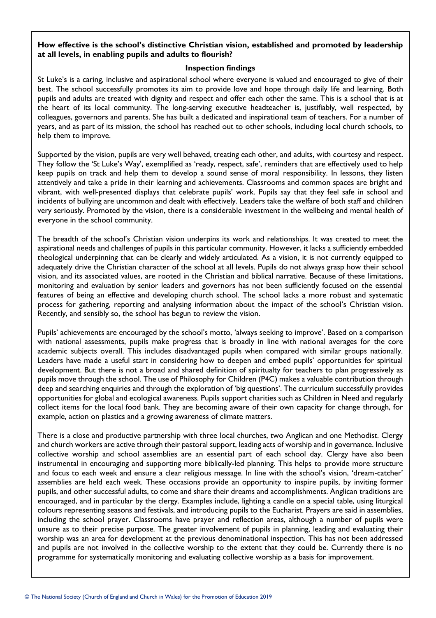# **How effective is the school's distinctive Christian vision, established and promoted by leadership at all levels, in enabling pupils and adults to flourish?**

# **Inspection findings**

St Luke's is a caring, inclusive and aspirational school where everyone is valued and encouraged to give of their best. The school successfully promotes its aim to provide love and hope through daily life and learning. Both pupils and adults are treated with dignity and respect and offer each other the same. This is a school that is at the heart of its local community. The long-serving executive headteacher is, justifiably, well respected, by colleagues, governors and parents. She has built a dedicated and inspirational team of teachers. For a number of years, and as part of its mission, the school has reached out to other schools, including local church schools, to help them to improve.

Supported by the vision, pupils are very well behaved, treating each other, and adults, with courtesy and respect. They follow the 'St Luke's Way', exemplified as 'ready, respect, safe', reminders that are effectively used to help keep pupils on track and help them to develop a sound sense of moral responsibility. In lessons, they listen attentively and take a pride in their learning and achievements. Classrooms and common spaces are bright and vibrant, with well-presented displays that celebrate pupils' work. Pupils say that they feel safe in school and incidents of bullying are uncommon and dealt with effectively. Leaders take the welfare of both staff and children very seriously. Promoted by the vision, there is a considerable investment in the wellbeing and mental health of everyone in the school community.

The breadth of the school's Christian vision underpins its work and relationships. It was created to meet the aspirational needs and challenges of pupils in this particular community. However, it lacks a sufficiently embedded theological underpinning that can be clearly and widely articulated. As a vision, it is not currently equipped to adequately drive the Christian character of the school at all levels. Pupils do not always grasp how their school vision, and its associated values, are rooted in the Christian and biblical narrative. Because of these limitations, monitoring and evaluation by senior leaders and governors has not been sufficiently focused on the essential features of being an effective and developing church school. The school lacks a more robust and systematic process for gathering, reporting and analysing information about the impact of the school's Christian vision. Recently, and sensibly so, the school has begun to review the vision.

Pupils' achievements are encouraged by the school's motto, 'always seeking to improve'. Based on a comparison with national assessments, pupils make progress that is broadly in line with national averages for the core academic subjects overall. This includes disadvantaged pupils when compared with similar groups nationally. Leaders have made a useful start in considering how to deepen and embed pupils' opportunities for spiritual development. But there is not a broad and shared definition of spiritualty for teachers to plan progressively as pupils move through the school. The use of Philosophy for Children (P4C) makes a valuable contribution through deep and searching enquiries and through the exploration of 'big questions'. The curriculum successfully provides opportunities for global and ecological awareness. Pupils support charities such as Children in Need and regularly collect items for the local food bank. They are becoming aware of their own capacity for change through, for example, action on plastics and a growing awareness of climate matters.

There is a close and productive partnership with three local churches, two Anglican and one Methodist. Clergy and church workers are active through their pastoral support, leading acts of worship and in governance. Inclusive collective worship and school assemblies are an essential part of each school day. Clergy have also been instrumental in encouraging and supporting more biblically-led planning. This helps to provide more structure and focus to each week and ensure a clear religious message. In line with the school's vision, 'dream-catcher' assemblies are held each week. These occasions provide an opportunity to inspire pupils, by inviting former pupils, and other successful adults, to come and share their dreams and accomplishments. Anglican traditions are encouraged, and in particular by the clergy. Examples include, lighting a candle on a special table, using liturgical colours representing seasons and festivals, and introducing pupils to the Eucharist. Prayers are said in assemblies, including the school prayer. Classrooms have prayer and reflection areas, although a number of pupils were unsure as to their precise purpose. The greater involvement of pupils in planning, leading and evaluating their worship was an area for development at the previous denominational inspection. This has not been addressed and pupils are not involved in the collective worship to the extent that they could be. Currently there is no programme for systematically monitoring and evaluating collective worship as a basis for improvement.